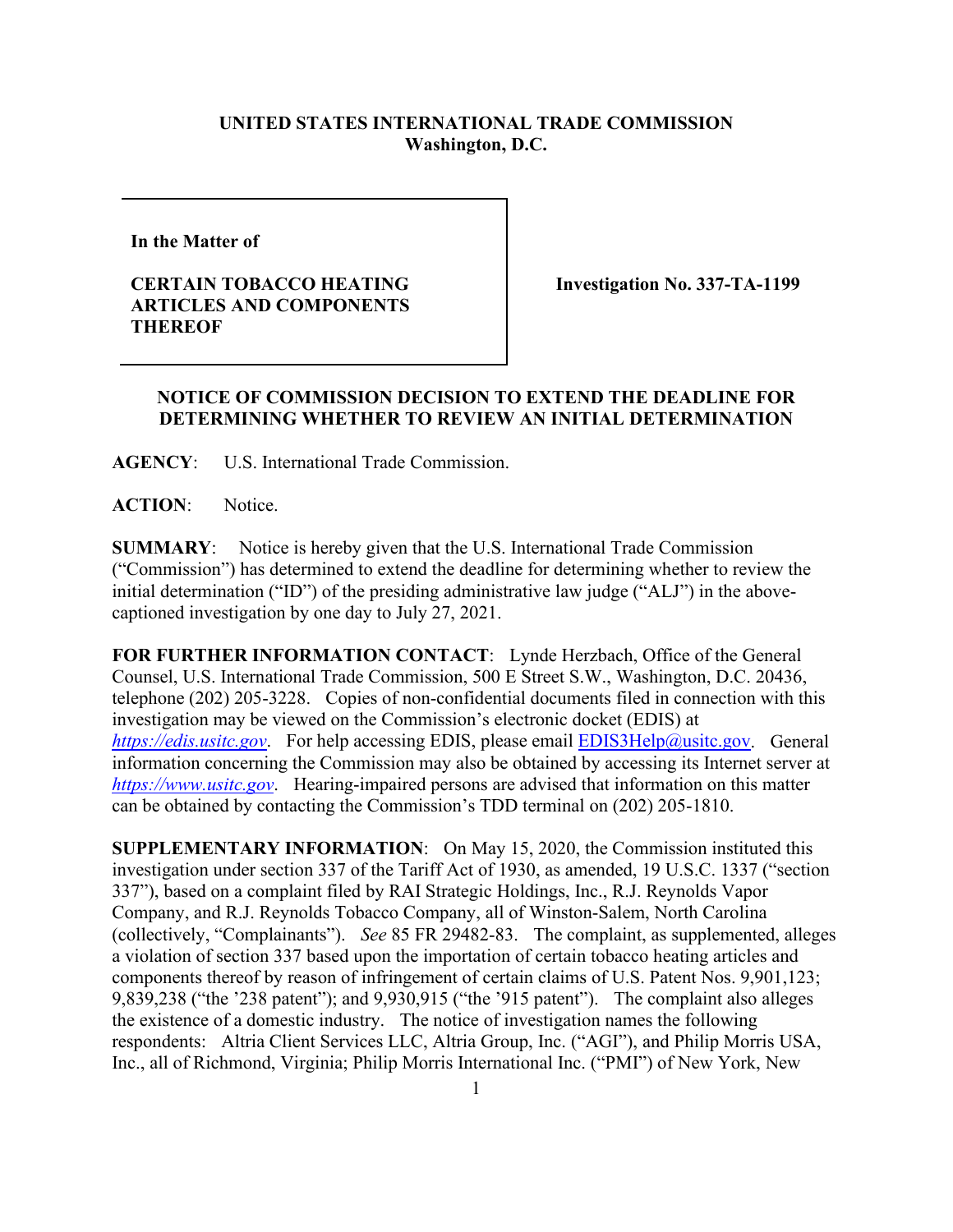## **UNITED STATES INTERNATIONAL TRADE COMMISSION Washington, D.C.**

**In the Matter of** 

## **CERTAIN TOBACCO HEATING ARTICLES AND COMPONENTS THEREOF**

**Investigation No. 337-TA-1199**

## **NOTICE OF COMMISSION DECISION TO EXTEND THE DEADLINE FOR DETERMINING WHETHER TO REVIEW AN INITIAL DETERMINATION**

**AGENCY**: U.S. International Trade Commission.

**ACTION**: Notice.

**SUMMARY**: Notice is hereby given that the U.S. International Trade Commission ("Commission") has determined to extend the deadline for determining whether to review the initial determination ("ID") of the presiding administrative law judge ("ALJ") in the abovecaptioned investigation by one day to July 27, 2021.

**FOR FURTHER INFORMATION CONTACT**: Lynde Herzbach, Office of the General Counsel, U.S. International Trade Commission, 500 E Street S.W., Washington, D.C. 20436, telephone (202) 205-3228. Copies of non-confidential documents filed in connection with this investigation may be viewed on the Commission's electronic docket (EDIS) at *[https://edis.usitc.gov](https://edis.usitc.gov/).* For help accessing EDIS, please email [EDIS3Help@usitc.gov.](mailto:EDIS3Help@usitc.gov) General information concerning the Commission may also be obtained by accessing its Internet server at *[https://www.usitc.gov](https://www.usitc.gov/)*. Hearing-impaired persons are advised that information on this matter can be obtained by contacting the Commission's TDD terminal on (202) 205-1810.

**SUPPLEMENTARY INFORMATION**: On May 15, 2020, the Commission instituted this investigation under section 337 of the Tariff Act of 1930, as amended, 19 U.S.C. 1337 ("section 337"), based on a complaint filed by RAI Strategic Holdings, Inc., R.J. Reynolds Vapor Company, and R.J. Reynolds Tobacco Company, all of Winston-Salem, North Carolina (collectively, "Complainants"). *See* 85 FR 29482-83. The complaint, as supplemented, alleges a violation of section 337 based upon the importation of certain tobacco heating articles and components thereof by reason of infringement of certain claims of U.S. Patent Nos. 9,901,123; 9,839,238 ("the '238 patent"); and 9,930,915 ("the '915 patent"). The complaint also alleges the existence of a domestic industry. The notice of investigation names the following respondents: Altria Client Services LLC, Altria Group, Inc. ("AGI"), and Philip Morris USA, Inc., all of Richmond, Virginia; Philip Morris International Inc. ("PMI") of New York, New